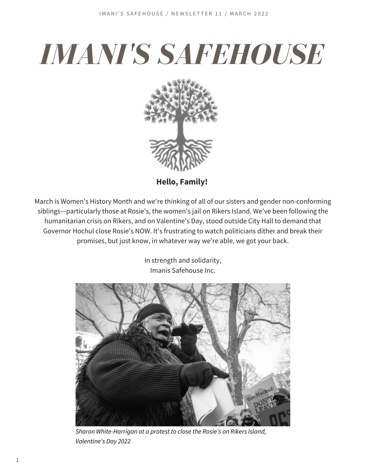# *IMANI'S SAFEHOUSE*



**Hello, Family!**

March is Women's History Month and we're thinking of all of our sisters and gender non-conforming siblings—particularly those at Rosie's, the women's jail on Rikers Island. We've been following the humanitarian crisis on Rikers, and on Valentine's Day, stood outside City Hall to demand that Governor Hochul close Rosie's NOW. It's frustrating to watch politicians dither and break their promises, but just know, in whatever way we're able, we got your back.

> In strength and solidarity, Imanis Safehouse Inc.



*Sharon White-Harrigan at a protest to close the Rosie's on Rikers Island, Valentine's Day 2022*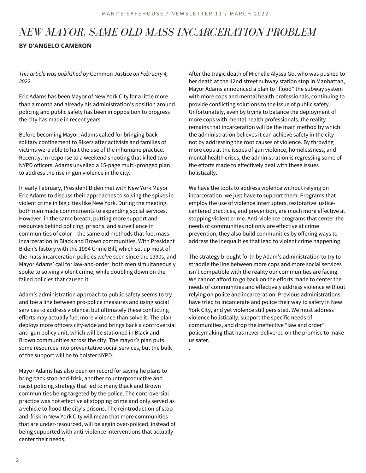.

### *NEW MAYOR, SAME OLD MASS INCARCERATION PROBLEM* **BY D'ANGELO CAMERON**

*This article was published by* Common Justice *on February 4, 2022*

Eric Adams has been Mayor of New York City for a little more than a month and already his administration's position around policing and public safety has been in opposition to progress the city has made in recent years.

Before becoming Mayor, Adams called for bringing back solitary confinement to Rikers after activists and families of victims were able to halt the use of the inhumane practice. Recently, in response to a weekend shooting that killed two NYPD officers, Adams unveiled a 15-page multi-pronged plan to address the rise in gun violence in the city.

In early February, President Biden met with New York Mayor Eric Adams to discuss their approaches to solving the spikes in violent crime in big cities like New York. During the meeting, both men made commitments to expanding social services. However, in the same breath, putting more support and resources behind policing, prisons, and surveillance in communities of color – the same old methods that fuel mass incarceration in Black and Brown communities. With President Biden's history with the 1994 Crime Bill, which set up most of the mass incarceration policies we've seen since the 1990s, and Mayor Adams' call for law-and-order, both men simultaneously spoke to solving violent crime, while doubling down on the failed policies that caused it.

Adam's administration approach to public safety seems to try and toe a line between pro-police measures and using social services to address violence, but ultimately these conflicting efforts may actually fuel more violence than solve it. The plan deploys more officers city-wide and brings back a controversial anti-gun policy unit, which will be stationed in Black and Brown communities across the city. The mayor's plan puts some resources into preventative social services, but the bulk of the support will be to bolster NYPD.

Mayor Adams has also been on record for saying he plans to bring back stop-and-frisk, another counterproductive and racist policing strategy that led to many Black and Brown communities being targeted by the police. The controversial practice was not effective at stopping crime and only served as a vehicle to flood the city's prisons. The reintroduction of stopand-frisk in New York City will mean that more communities that are under-resourced, will be again over-policed, instead of being supported with anti-violence interventions that actually center their needs.

After the tragic death of Michelle Alyssa Go, who was pushed to her death at the 42nd street subway station stop in Manhattan, Mayor Adams announced a plan to "flood" the subway system with more cops and mental health professionals, continuing to provide conflicting solutions to the issue of public safety. Unfortunately, even by trying to balance the deployment of more cops with mental health professionals, the reality remains that incarceration will be the main method by which the administration believes it can achieve safety in the city – not by addressing the root causes of violence. By throwing more cops at the issues of gun violence, homelessness, and mental health crises, the administration is regressing some of the efforts made to effectively deal with these issues holistically.

We have the tools to address violence without relying on incarceration, we just have to support them. Programs that employ the use of violence interrupters, restorative justicecentered practices, and prevention, are much more effective at stopping violent crime. Anti-violence programs that center the needs of communities not only are effective at crime prevention, they also build communities by offering ways to address the inequalities that lead to violent crime happening.

The strategy brought forth by Adam's administration to try to straddle the line between more cops and more social services isn't compatible with the reality our communities are facing. We cannot afford to go back on the efforts made to center the needs of communities and effectively address violence without relying on police and incarceration. Previous administrations have tried to incarcerate and police their way to safety in New York City, and yet violence still persisted. We must address violence holistically, support the specific needs of communities, and drop the ineffective "law and order" policymaking that has never delivered on the promise to make us safer.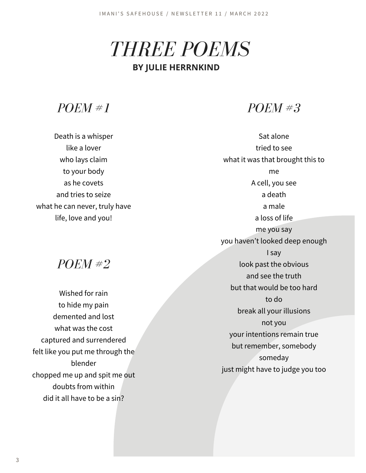*THREE POEMS*

#### **BY JULIE HERRNKIND**

*POEM #1*

Death is a whisper like a lover who lays claim to your body as he covets and tries to seize what he can never, truly have life, love and you!

*POEM #2*

Wished for rain to hide my pain demented and lost what was the cost captured and surrendered felt like you put me through the blender chopped me up and spit me out doubts from within did it all have to be a sin?

*POEM #3*

Sat alone tried to see what it was that brought this to me A cell, you see a death a male a loss of life me you say you haven't looked deep enough I say look past the obvious and see the truth but that would be too hard to do break all your illusions not you your intentions remain true but remember, somebody someday just might have to judge you too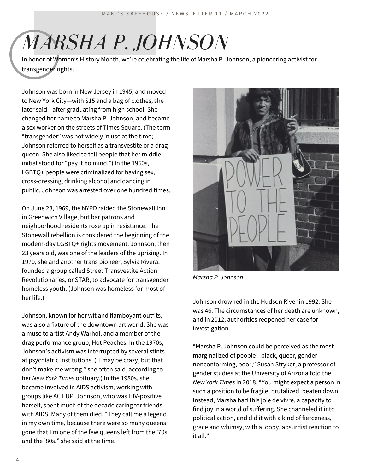## *MARSHA P. JOHNSON*

In honor of Women's History Month, we're celebrating the life of Marsha P. Johnson, a pioneering activist for transgender rights.

Johnson was born in New Jersey in 1945, and moved to New York City—with \$15 and a bag of clothes, she later said—after graduating from high school. She changed her name to Marsha P. Johnson, and became a sex worker on the streets of Times Square. (The term "transgender" was not widely in use at the time; Johnson referred to herself as a transvestite or a drag queen. She also liked to tell people that her middle initial stood for "pay it no mind.") In the 1960s, LGBTQ+ people were criminalized for having sex, cross-dressing, drinking alcohol and dancing in public. Johnson was arrested over one hundred times.

On June 28, 1969, the NYPD raided the Stonewall Inn in Greenwich Village, but bar patrons and neighborhood residents rose up in resistance. The Stonewall rebellion is considered the beginning of the modern-day LGBTQ+ rights movement. Johnson, then 23 years old, was one of the leaders of the uprising. In 1970, she and another trans pioneer, Sylvia Rivera, founded a group called Street Transvestite Action Revolutionaries, or STAR, to advocate for transgender homeless youth. (Johnson was homeless for most of her life.)

Johnson, known for her wit and flamboyant outfits, was also a fixture of the downtown art world. She was a muse to artist Andy Warhol, and a member of the drag performance group, Hot Peaches. In the 1970s, Johnson's activism was interrupted by several stints at psychiatric institutions. ("I may be crazy, but that don't make me wrong," she often said, according to her *New York Times* obituary.) In the 1980s, she became involved in AIDS activism, working with groups like ACT UP. Johnson, who was HIV-positive herself, spent much of the decade caring for friends with AIDS. Many of them died. "They call me a legend in my own time, because there were so many queens gone that I'm one of the few queens left from the '70s and the '80s," she said at the time.



*Marsha P. Johnson*

Johnson drowned in the Hudson River in 1992. She was 46. The circumstances of her death are unknown, and in 2012, authorities reopened her case for investigation.

"Marsha P. Johnson could be perceived as the most marginalized of people—black, queer, gendernonconforming, poor," Susan Stryker, a professor of gender studies at the University of Arizona told the *New York Times* in 2018. "You might expect a person in such a position to be fragile, brutalized, beaten down. Instead, Marsha had this joie de vivre, a capacity to find joy in a world of suffering. She channeled it into political action, and did it with a kind of fierceness, grace and whimsy, with a loopy, absurdist reaction to it all."